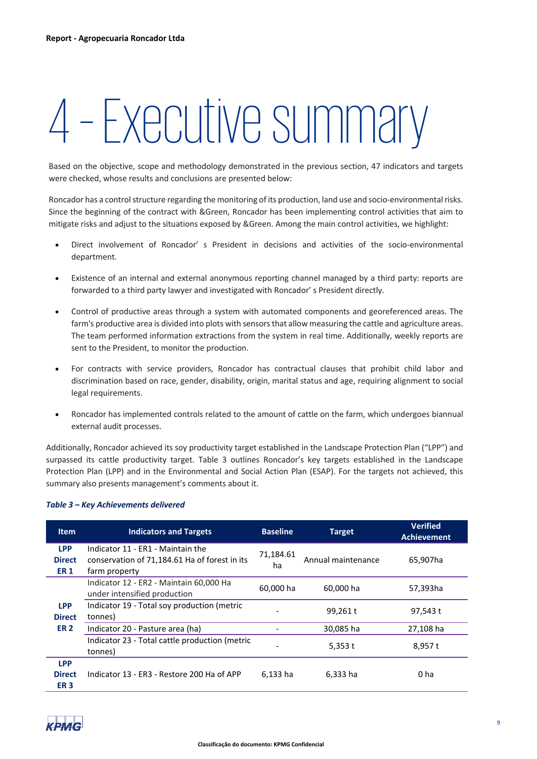# 4–Executive summary

Based on the objective, scope and methodology demonstrated in the previous section, 47 indicators and targets were checked, whose results and conclusions are presented below:

Roncador has a control structure regarding the monitoring of its production, land use and socio-environmental risks. Since the beginning of the contract with &Green, Roncador has been implementing control activities that aim to mitigate risks and adjust to the situations exposed by &Green. Among the main control activities, we highlight:

- Direct involvement of Roncador' s President in decisions and activities of the socio-environmental department.
- Existence of an internal and external anonymous reporting channel managed by a third party: reports are forwarded to a third party lawyer and investigated with Roncador' s President directly.
- Control of productive areas through a system with automated components and georeferenced areas. The farm's productive area is divided into plots with sensors that allow measuring the cattle and agriculture areas. The team performed information extractions from the system in real time. Additionally, weekly reports are sent to the President, to monitor the production.
- For contracts with service providers, Roncador has contractual clauses that prohibit child labor and discrimination based on race, gender, disability, origin, marital status and age, requiring alignment to social legal requirements.
- Roncador has implemented controls related to the amount of cattle on the farm, which undergoes biannual external audit processes.

Additionally, Roncador achieved its soy productivity target established in the Landscape Protection Plan ("LPP") and surpassed its cattle productivity target. Table 3 outlines Roncador's key targets established in the Landscape Protection Plan (LPP) and in the Environmental and Social Action Plan (ESAP). For the targets not achieved, this summary also presents management's comments about it.

| <b>Item</b>                                | <b>Indicators and Targets</b>                                                                       | <b>Baseline</b> | <b>Target</b>      | <b>Verified</b><br>Achievement |
|--------------------------------------------|-----------------------------------------------------------------------------------------------------|-----------------|--------------------|--------------------------------|
| <b>LPP</b><br><b>Direct</b><br><b>ER1</b>  | Indicator 11 - ER1 - Maintain the<br>conservation of 71,184.61 Ha of forest in its<br>farm property | 71,184.61<br>ha | Annual maintenance | 65.907ha                       |
| <b>LPP</b><br><b>Direct</b><br><b>ER 2</b> | Indicator 12 - ER2 - Maintain 60,000 Ha<br>under intensified production                             | 60,000 ha       | 60,000 ha          | 57,393ha                       |
|                                            | Indicator 19 - Total soy production (metric<br>tonnes)                                              |                 | 99,261 t           | 97,543 t                       |
|                                            | Indicator 20 - Pasture area (ha)                                                                    |                 | 30,085 ha          | 27,108 ha                      |
|                                            | Indicator 23 - Total cattle production (metric<br>tonnes)                                           |                 | 5,353 $t$          | 8,957 t                        |
| <b>LPP</b><br><b>Direct</b><br><b>ER3</b>  | Indicator 13 - ER3 - Restore 200 Ha of APP                                                          | 6,133 ha        | 6,333 ha           | 0 ha                           |

# *Table 3 – Key Achievements delivered*

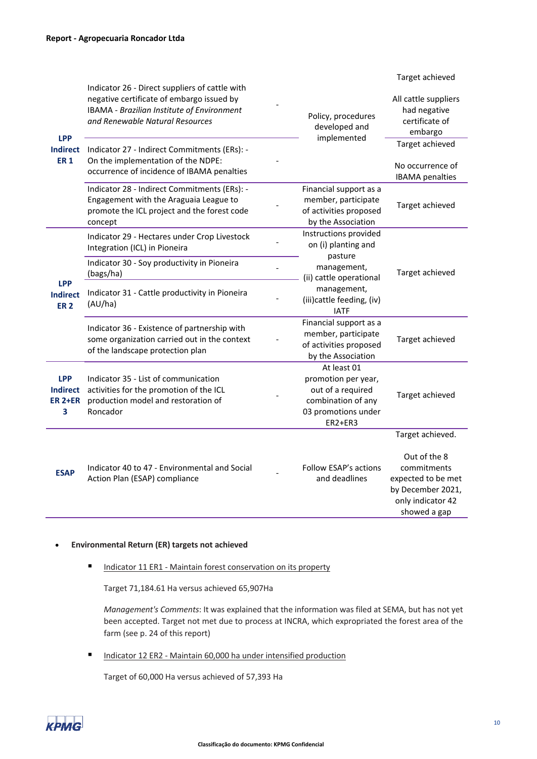Target achieved

| <b>LPP</b><br><b>Indirect</b><br><b>ER1</b>          | Indicator 26 - Direct suppliers of cattle with<br>negative certificate of embargo issued by<br>IBAMA - Brazilian Institute of Environment<br>and Renewable Natural Resources<br>Indicator 27 - Indirect Commitments (ERs): -<br>On the implementation of the NDPE:<br>occurrence of incidence of IBAMA penalties | Policy, procedures<br>developed and<br>implemented                                                              | All cattle suppliers<br>had negative<br>certificate of<br>embargo<br>Target achieved<br>No occurrence of<br><b>IBAMA</b> penalties |
|------------------------------------------------------|------------------------------------------------------------------------------------------------------------------------------------------------------------------------------------------------------------------------------------------------------------------------------------------------------------------|-----------------------------------------------------------------------------------------------------------------|------------------------------------------------------------------------------------------------------------------------------------|
|                                                      | Indicator 28 - Indirect Commitments (ERs): -<br>Engagement with the Araguaia League to<br>promote the ICL project and the forest code<br>concept                                                                                                                                                                 | Financial support as a<br>member, participate<br>of activities proposed<br>by the Association                   | Target achieved                                                                                                                    |
| <b>LPP</b><br><b>Indirect</b><br><b>ER2</b>          | Indicator 29 - Hectares under Crop Livestock<br>Integration (ICL) in Pioneira                                                                                                                                                                                                                                    | Instructions provided<br>on (i) planting and<br>pasture                                                         | Target achieved                                                                                                                    |
|                                                      | Indicator 30 - Soy productivity in Pioneira<br>(bags/ha)                                                                                                                                                                                                                                                         | management,<br>(ii) cattle operational                                                                          |                                                                                                                                    |
|                                                      | Indicator 31 - Cattle productivity in Pioneira<br>(AU/ha)                                                                                                                                                                                                                                                        | management,<br>(iii)cattle feeding, (iv)<br><b>IATF</b>                                                         |                                                                                                                                    |
|                                                      | Indicator 36 - Existence of partnership with<br>some organization carried out in the context<br>of the landscape protection plan                                                                                                                                                                                 | Financial support as a<br>member, participate<br>of activities proposed<br>by the Association                   | Target achieved                                                                                                                    |
| <b>LPP</b><br><b>Indirect</b><br><b>ER 2+ER</b><br>3 | Indicator 35 - List of communication<br>activities for the promotion of the ICL<br>production model and restoration of<br>Roncador                                                                                                                                                                               | At least 01<br>promotion per year,<br>out of a required<br>combination of any<br>03 promotions under<br>ER2+ER3 | Target achieved                                                                                                                    |
| <b>ESAP</b>                                          | Indicator 40 to 47 - Environmental and Social<br>Action Plan (ESAP) compliance                                                                                                                                                                                                                                   | Follow ESAP's actions<br>and deadlines                                                                          | Target achieved.<br>Out of the 8<br>commitments<br>expected to be met<br>by December 2021,<br>only indicator 42<br>showed a gap    |

# • **Environmental Return (ER) targets not achieved**

Indicator 11 ER1 - Maintain forest conservation on its property

Target 71,184.61 Ha versus achieved 65,907Ha

*Management's Comments*: It was explained that the information was filed at SEMA, but has not yet been accepted. Target not met due to process at INCRA, which expropriated the forest area of the farm (see p. 24 of this report)

Indicator 12 ER2 - Maintain 60,000 ha under intensified production

Target of 60,000 Ha versus achieved of 57,393 Ha

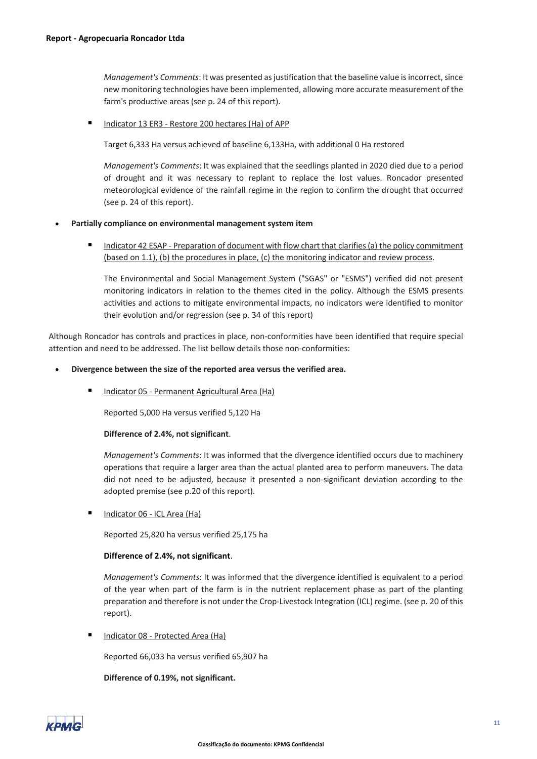*Management's Comments*: It was presented as justification that the baseline value is incorrect, since new monitoring technologies have been implemented, allowing more accurate measurement of the farm's productive areas (see p. 24 of this report).

#### Indicator 13 ER3 - Restore 200 hectares (Ha) of APP

Target 6,333 Ha versus achieved of baseline 6,133Ha, with additional 0 Ha restored

*Management's Comments*: It was explained that the seedlings planted in 2020 died due to a period of drought and it was necessary to replant to replace the lost values. Roncador presented meteorological evidence of the rainfall regime in the region to confirm the drought that occurred (see p. 24 of this report).

#### • **Partially compliance on environmental management system item**

Indicator 42 ESAP - Preparation of document with flow chart that clarifies (a) the policy commitment (based on 1.1), (b) the procedures in place, (c) the monitoring indicator and review process.

The Environmental and Social Management System ("SGAS" or "ESMS") verified did not present monitoring indicators in relation to the themes cited in the policy. Although the ESMS presents activities and actions to mitigate environmental impacts, no indicators were identified to monitor their evolution and/or regression (see p. 34 of this report)

Although Roncador has controls and practices in place, non-conformities have been identified that require special attention and need to be addressed. The list bellow details those non-conformities:

#### • **Divergence between the size of the reported area versus the verified area.**

■ Indicator 05 - Permanent Agricultural Area (Ha)

Reported 5,000 Ha versus verified 5,120 Ha

# **Difference of 2.4%, not significant**.

*Management's Comments*: It was informed that the divergence identified occurs due to machinery operations that require a larger area than the actual planted area to perform maneuvers. The data did not need to be adjusted, because it presented a non-significant deviation according to the adopted premise (see p.20 of this report).

Indicator 06 - ICL Area (Ha)

Reported 25,820 ha versus verified 25,175 ha

# **Difference of 2.4%, not significant**.

*Management's Comments*: It was informed that the divergence identified is equivalent to a period of the year when part of the farm is in the nutrient replacement phase as part of the planting preparation and therefore is not under the Crop-Livestock Integration (ICL) regime. (see p. 20 of this report).

Indicator 08 - Protected Area (Ha)

Reported 66,033 ha versus verified 65,907 ha

# **Difference of 0.19%, not significant.**

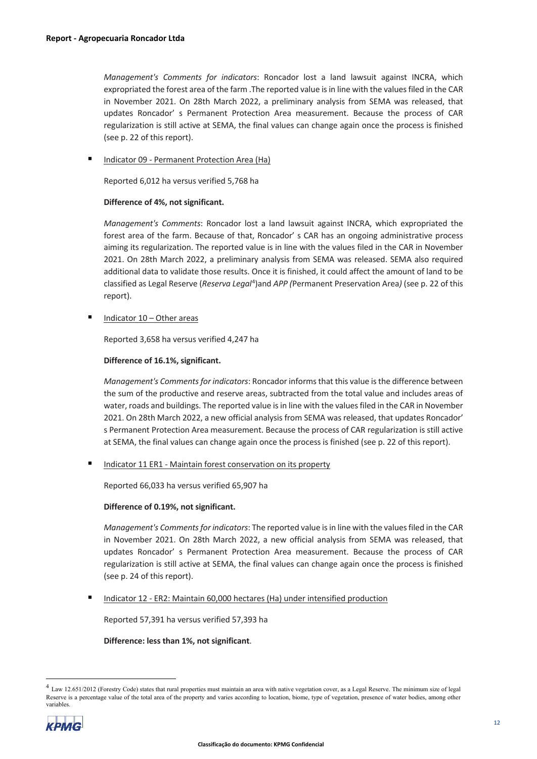*Management's Comments for indicators*: Roncador lost a land lawsuit against INCRA, which expropriated the forest area of the farm .The reported value is in line with the values filed in the CAR in November 2021. On 28th March 2022, a preliminary analysis from SEMA was released, that updates Roncador' s Permanent Protection Area measurement. Because the process of CAR regularization is still active at SEMA, the final values can change again once the process is finished (see p. 22 of this report).

Indicator 09 - Permanent Protection Area (Ha)

Reported 6,012 ha versus verified 5,768 ha

# **Difference of 4%, not significant.**

*Management's Comments*: Roncador lost a land lawsuit against INCRA, which expropriated the forest area of the farm. Because of that, Roncador' s CAR has an ongoing administrative process aiming its regularization. The reported value is in line with the values filed in the CAR in November 2021. On 28th March 2022, a preliminary analysis from SEMA was released. SEMA also required additional data to validate those results. Once it is finished, it could affect the amount of land to be classified as Legal Reserve (Reserva Legal<sup>[4](#page-3-0)</sup>)and APP (Permanent Preservation Area) (see p. 22 of this report).

Indicator 10 – Other areas

Reported 3,658 ha versus verified 4,247 ha

# **Difference of 16.1%, significant.**

*Management's Comments for indicators*: Roncador informs that this value is the difference between the sum of the productive and reserve areas, subtracted from the total value and includes areas of water, roads and buildings. The reported value is in line with the values filed in the CAR in November 2021. On 28th March 2022, a new official analysis from SEMA was released, that updates Roncador' s Permanent Protection Area measurement. Because the process of CAR regularization is still active at SEMA, the final values can change again once the process is finished (see p. 22 of this report).

Indicator 11 ER1 - Maintain forest conservation on its property

Reported 66,033 ha versus verified 65,907 ha

# **Difference of 0.19%, not significant.**

*Management's Commentsfor indicators*: The reported value is in line with the values filed in the CAR in November 2021. On 28th March 2022, a new official analysis from SEMA was released, that updates Roncador' s Permanent Protection Area measurement. Because the process of CAR regularization is still active at SEMA, the final values can change again once the process is finished (see p. 24 of this report).

Indicator 12 - ER2: Maintain 60,000 hectares (Ha) under intensified production

Reported 57,391 ha versus verified 57,393 ha

**Difference: less than 1%, not significant**.

<span id="page-3-0"></span><sup>&</sup>lt;sup>4</sup> Law 12.651/2012 (Forestry Code) states that rural properties must maintain an area with native vegetation cover, as a Legal Reserve. The minimum size of legal Reserve is a percentage value of the total area of the property and varies according to location, biome, type of vegetation, presence of water bodies, among other variables.

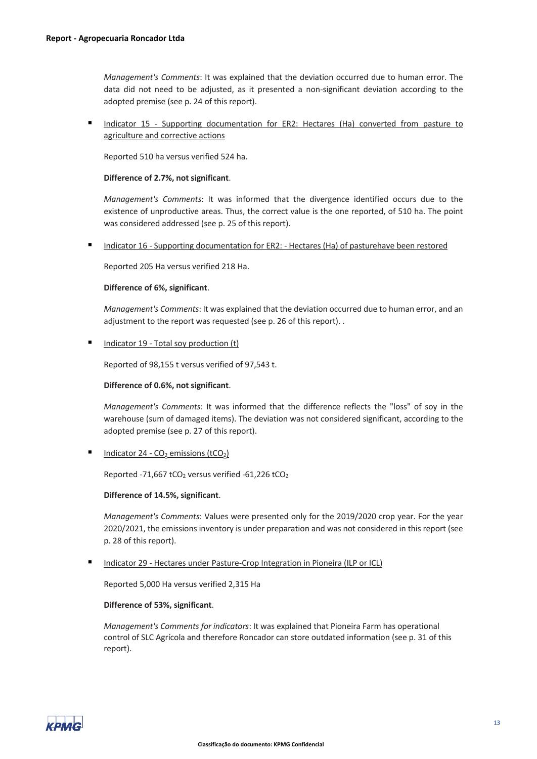*Management's Comments*: It was explained that the deviation occurred due to human error. The data did not need to be adjusted, as it presented a non-significant deviation according to the adopted premise (see p. 24 of this report).

 Indicator 15 - Supporting documentation for ER2: Hectares (Ha) converted from pasture to agriculture and corrective actions

Reported 510 ha versus verified 524 ha.

#### **Difference of 2.7%, not significant**.

*Management's Comments*: It was informed that the divergence identified occurs due to the existence of unproductive areas. Thus, the correct value is the one reported, of 510 ha. The point was considered addressed (see p. 25 of this report).

Indicator 16 - Supporting documentation for ER2: - Hectares (Ha) of pasturehave been restored

Reported 205 Ha versus verified 218 Ha.

#### **Difference of 6%, significant**.

*Management's Comments*: It was explained that the deviation occurred due to human error, and an adjustment to the report was requested (see p. 26 of this report). .

Indicator 19 - Total soy production (t)

Reported of 98,155 t versus verified of 97,543 t.

#### **Difference of 0.6%, not significant**.

*Management's Comments*: It was informed that the difference reflects the "loss" of soy in the warehouse (sum of damaged items). The deviation was not considered significant, according to the adopted premise (see p. 27 of this report).

Indicator 24 -  $CO<sub>2</sub>$  emissions (tCO<sub>2</sub>)

Reported -71,667 tCO<sub>2</sub> versus verified -61,226 tCO<sub>2</sub>

#### **Difference of 14.5%, significant**.

*Management's Comments*: Values were presented only for the 2019/2020 crop year. For the year 2020/2021, the emissions inventory is under preparation and was not considered in this report (see p. 28 of this report).

Indicator 29 - Hectares under Pasture-Crop Integration in Pioneira (ILP or ICL)

Reported 5,000 Ha versus verified 2,315 Ha

### **Difference of 53%, significant**.

*Management's Comments for indicators*: It was explained that Pioneira Farm has operational control of SLC Agrícola and therefore Roncador can store outdated information (see p. 31 of this report).

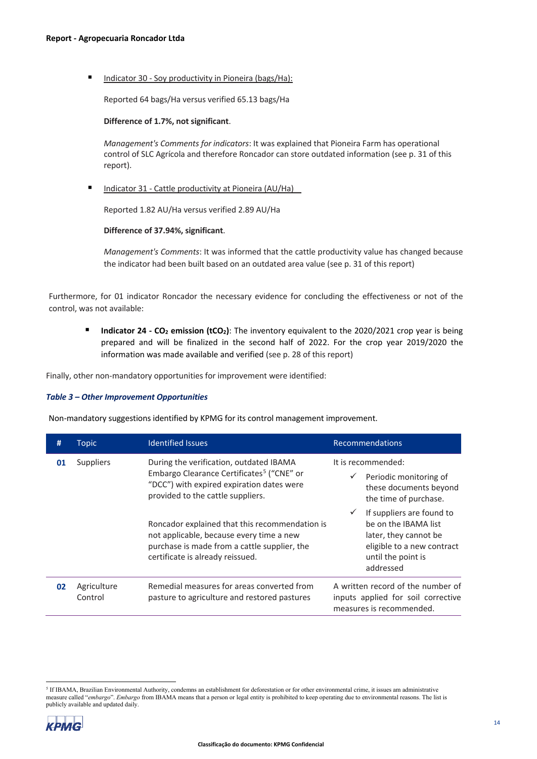Indicator 30 - Soy productivity in Pioneira (bags/Ha):

Reported 64 bags/Ha versus verified 65.13 bags/Ha

#### **Difference of 1.7%, not significant**.

*Management's Comments for indicators*: It was explained that Pioneira Farm has operational control of SLC Agrícola and therefore Roncador can store outdated information (see p. 31 of this report).

Indicator 31 - Cattle productivity at Pioneira (AU/Ha)

Reported 1.82 AU/Ha versus verified 2.89 AU/Ha

# **Difference of 37.94%, significant**.

*Management's Comments*: It was informed that the cattle productivity value has changed because the indicator had been built based on an outdated area value (see p. 31 of this report)

Furthermore, for 01 indicator Roncador the necessary evidence for concluding the effectiveness or not of the control, was not available:

**Indicator 24 - CO<sub>2</sub> emission (tCO<sub>2</sub>)**: The inventory equivalent to the 2020/2021 crop year is being prepared and will be finalized in the second half of 2022. For the crop year 2019/2020 the information was made available and verified (see p. 28 of this report)

Finally, other non-mandatory opportunities for improvement were identified:

#### *Table 3 – Other Improvement Opportunities*

Non-mandatory suggestions identified by KPMG for its control management improvement.

| #  | <b>Topic</b>                                                                                                                                                                                                                                                                                                                           | <b>Identified Issues</b>                                                                   | <b>Recommendations</b>                                                                                                                                      |
|----|----------------------------------------------------------------------------------------------------------------------------------------------------------------------------------------------------------------------------------------------------------------------------------------------------------------------------------------|--------------------------------------------------------------------------------------------|-------------------------------------------------------------------------------------------------------------------------------------------------------------|
| 01 | During the verification, outdated IBAMA<br><b>Suppliers</b><br>Embargo Clearance Certificates <sup>5</sup> ("CNE" or<br>"DCC") with expired expiration dates were<br>provided to the cattle suppliers.<br>not applicable, because every time a new<br>purchase is made from a cattle supplier, the<br>certificate is already reissued. |                                                                                            | It is recommended:<br>Periodic monitoring of<br>$\checkmark$<br>these documents beyond<br>the time of purchase.                                             |
|    |                                                                                                                                                                                                                                                                                                                                        | Roncador explained that this recommendation is                                             | If suppliers are found to<br>$\checkmark$<br>be on the IBAMA list<br>later, they cannot be<br>eligible to a new contract<br>until the point is<br>addressed |
| 02 | Agriculture<br>Control                                                                                                                                                                                                                                                                                                                 | Remedial measures for areas converted from<br>pasture to agriculture and restored pastures | A written record of the number of<br>inputs applied for soil corrective<br>measures is recommended.                                                         |

<span id="page-5-0"></span><sup>5</sup> If IBAMA, Brazilian Environmental Authority, condemns an establishment for deforestation or for other environmental crime, it issues am administrative measure called "*embargo*". *Embargo* from IBAMA means that a person or legal entity is prohibited to keep operating due to environmental reasons. The list is publicly available and updated daily.